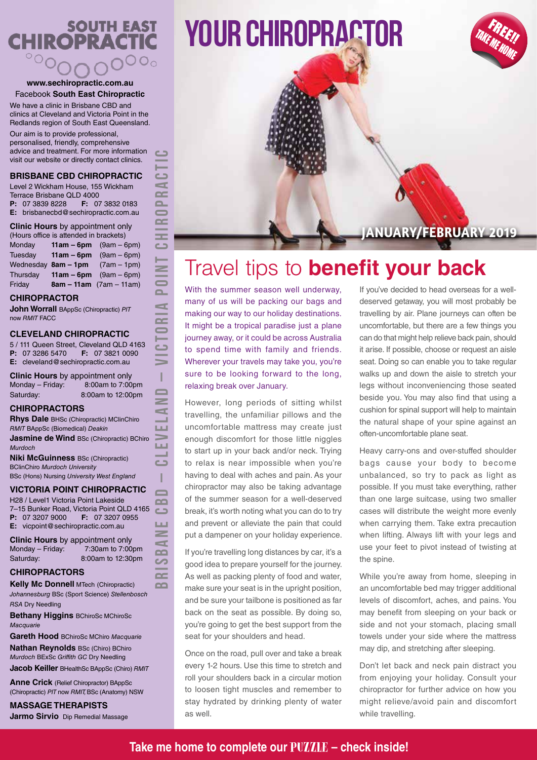# **SOUTH EAST<br>DPRACTIC CHIROPRACT**  $\circ \circ_{\mathcal{O}}$

#### **www.sechiropractic.com.au** Facebook **South East Chiropractic**

We have a clinic in Brisbane CBD and clinics at Cleveland and Victoria Point in the Redlands region of South East Queensland.

Our aim is to provide professional, personalised, friendly, comprehensive advice and treatment. For more information visit our website or directly contact clinics.

#### **BRISBANE CBD CHIROPRACTIC**

Level 2 Wickham House, 155 Wickham Terrace Brisbane QLD 4000<br>**P**: 07 3839 8228 **F:** 07 **F:** 07 3832 0183 **E:** brisbanecbd@sechiropractic.com.au

### **Clinic Hours** by appointment only

| (Hours office is attended in brackets) |              |                                   |
|----------------------------------------|--------------|-----------------------------------|
| Monday                                 |              | <b>11am – 6pm</b> $(9am - 6pm)$   |
| Tuesdav                                | $11am - 6pm$ | $(9am - 6pm)$                     |
|                                        |              | Wednesday $8am - 1pm$ (7am - 1pm) |
| Thursday                               | $11am - 6pm$ | $(9am - 6dm)$                     |
| Friday                                 |              | $8am - 11am$ (7am – 11am)         |

#### **CHIROPRACTOR**

**John Worrall** BAppSc (Chiropractic) *PIT* now *RMIT* FACC

#### **CLEVELAND CHIROPRACTIC**

5 / 111 Queen Street, Cleveland QLD 4163<br> $P: 0732865470$   $F: 0738210090$ **F:** 07 3821 0090 **E:** cleveland@sechiropractic.com.au

**Clinic Hours** by appointment only<br>Mondav – Fridav: 8:00am to 7:00pm  $Monday - Friday:$ Saturday: 8:00am to 12:00pm **BRISBANE CBD – CLEVELAND – VICTORIA POINT CHIROPRACTIC**

Ī  $\blacksquare$  $\geq$ c LЦ ш  $\Box$ I  $\blacksquare$  $\Omega$ 

LШ  $\geq$  $\blacktriangleleft$  $\mathbf{a}$  $\sim$  $\sim$  $\sim$ 

 $\epsilon$ 

h, d œ  $\Omega$  $\epsilon$  $\sim$ 55  $\Box$ H.  $\geq$  $\overline{\phantom{a}}$  $\mathbf{r}$ d  $\sim$  $\bullet$ دے

#### **CHIROPRACTORS**

**Rhys Dale** BHSc (Chiropractic) MClinChiro *RMIT* BAppSc (Biomedical) *Deakin* **Jasmine de Wind BSc (Chiropractic) BChiro** *Murdoch*

**Niki McGuinness** BSc (Chiropractic) BClinChiro *Murdoch University* BSc (Hons) Nursing *University West England*

### **VICTORIA POINT CHIROPRACTIC**

H28 / Level1 Victoria Point Lakeside 7–15 Bunker Road, Victoria Point QLD 4165<br>**P:** 07 3207 9000 **F:** 07 3207 0955  $\sim$ **F:** 07 3207 0955 **E:** vicpoint@sechiropractic.com.au

**Clinic Hours** by appointment only Monday – Friday: 7:30am to 7:00pm Saturday: 8:00am to 12:30pm

### **CHIROPRACTORS**

**Kelly Mc Donnell** MTech (Chiropractic) *Johannesburg* BSc (Sport Science) *Stellenbosch RSA* Dry Needling

**Bethany Higgins** BChiroSc MChiroSc *Macquarie*

**Gareth Hood** BChiroSc MChiro *Macquarie* **Nathan Reynolds** BSc (Chiro) BChiro *Murdoch* BExSc *Griffith GC* Dry Needling **Jacob Keiller** BHealthSc BAppSc (Chiro) *RMIT*

**Anne Crick** (Relief Chiropractor) BAppSc (Chiropractic) *PIT* now *RMIT,* BSc (Anatomy) NSW

**MASSAGE THERAPISTS Jarmo Sirvio** Dip Remedial Massage





## **JANUARY/FEBRUARY 2019**

# Travel tips to **benefit your back**

With the summer season well underway, many of us will be packing our bags and making our way to our holiday destinations. It might be a tropical paradise just a plane journey away, or it could be across Australia to spend time with family and friends. Wherever your travels may take you, you're sure to be looking forward to the long, relaxing break over January.

However, long periods of sitting whilst travelling, the unfamiliar pillows and the uncomfortable mattress may create just enough discomfort for those little niggles to start up in your back and/or neck. Trying to relax is near impossible when you're having to deal with aches and pain. As your chiropractor may also be taking advantage of the summer season for a well-deserved break, it's worth noting what you can do to try and prevent or alleviate the pain that could put a dampener on your holiday experience.

If you're travelling long distances by car, it's a good idea to prepare yourself for the journey. As well as packing plenty of food and water, make sure your seat is in the upright position, and be sure your tailbone is positioned as far back on the seat as possible. By doing so, you're going to get the best support from the seat for your shoulders and head.

Once on the road, pull over and take a break every 1-2 hours. Use this time to stretch and roll your shoulders back in a circular motion to loosen tight muscles and remember to stay hydrated by drinking plenty of water as well.

If you've decided to head overseas for a welldeserved getaway, you will most probably be travelling by air. Plane journeys can often be uncomfortable, but there are a few things you can do that might help relieve back pain, should it arise. If possible, choose or request an aisle seat. Doing so can enable you to take regular walks up and down the aisle to stretch your legs without inconveniencing those seated beside you. You may also find that using a cushion for spinal support will help to maintain the natural shape of your spine against an often-uncomfortable plane seat.

Heavy carry-ons and over-stuffed shoulder bags cause your body to become unbalanced, so try to pack as light as possible. If you must take everything, rather than one large suitcase, using two smaller cases will distribute the weight more evenly when carrying them. Take extra precaution when lifting. Always lift with your legs and use your feet to pivot instead of twisting at the spine.

While you're away from home, sleeping in an uncomfortable bed may trigger additional levels of discomfort, aches, and pains. You may benefit from sleeping on your back or side and not your stomach, placing small towels under your side where the mattress may dip, and stretching after sleeping.

Don't let back and neck pain distract you from enjoying your holiday. Consult your chiropractor for further advice on how you might relieve/avoid pain and discomfort while travelling.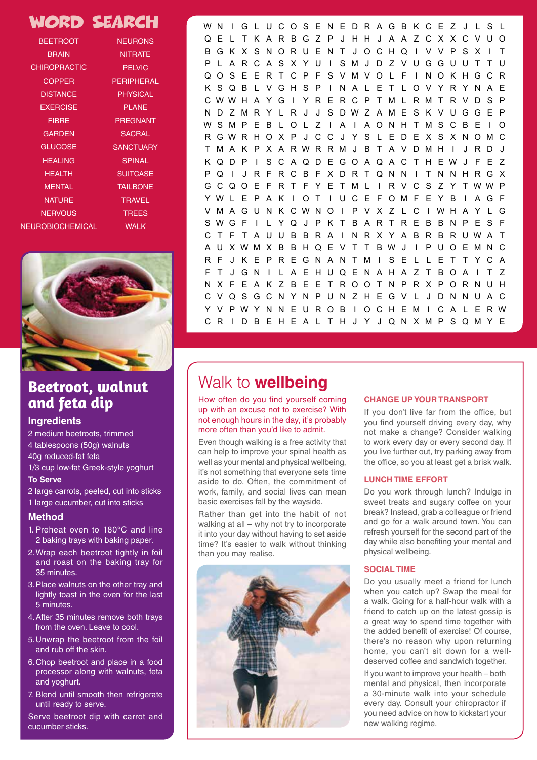## WORD SEARCH

| <b>BEETROOT</b>         | <b>Service Service</b><br><b>NEURONS</b>                                                                                                |
|-------------------------|-----------------------------------------------------------------------------------------------------------------------------------------|
| <b>BRAIN</b>            | <b>NITRATE</b>                                                                                                                          |
| <b>CHIROPRACTIC</b>     | <b>PELVIC</b>                                                                                                                           |
| <b>COPPER</b>           | <b>Service Service</b><br>PERIPHERAL                                                                                                    |
| <b>DISTANCE</b>         | <b>PHYSICAL</b>                                                                                                                         |
| <b>EXERCISE</b>         | <b>Service Service</b><br><b>PLANE</b>                                                                                                  |
| <b>FIBRE</b>            | <b>PREGNANT</b>                                                                                                                         |
| <b>GARDEN</b>           | <b>Service Service</b><br><b>SACRAL</b>                                                                                                 |
| <b>GLUCOSE</b>          | <b>Tana</b><br><b>SANCTUARY</b>                                                                                                         |
| <b>HEALING</b>          | <b>SPINAL</b><br>and the state of the state of the state of the state of the state of the state of the state of the state of th         |
| <b>HEALTH</b>           | <b>SUITCASE</b>                                                                                                                         |
| <b>MENTAL</b>           | <u> Tanzania a Tanzania a Tanzania a Tanzania a Tanzania a Tanzania a Tanzania a Tanzania a Tanzania a Tanzania </u><br><b>TAILBONE</b> |
| <b>NATURE</b>           | <b>TRAVEL</b>                                                                                                                           |
| <b>NERVOUS</b>          | <b>TREES</b>                                                                                                                            |
| <b>NEUROBIOCHEMICAL</b> | <b>WALK</b>                                                                                                                             |



### **Beetroot, walnut and feta dip**

### **Ingredients**

2 medium beetroots, trimmed 4 tablespoons (50g) walnuts 40g reduced-fat feta 1/3 cup low-fat Greek-style yoghurt

### **To Serve**

- 2 large carrots, peeled, cut into sticks
- 1 large cucumber, cut into sticks

### **Method**

- 1. Preheat oven to 180°C and line 2 baking trays with baking paper.
- 2.Wrap each beetroot tightly in foil and roast on the baking tray for 35 minutes.
- 3.Place walnuts on the other tray and lightly toast in the oven for the last 5 minutes.
- 4.After 35 minutes remove both trays from the oven. Leave to cool.
- 5.Unwrap the beetroot from the foil and rub off the skin.
- 6.Chop beetroot and place in a food processor along with walnuts, feta and yoghurt.
- 7. Blend until smooth then refrigerate until ready to serve.

Serve beetroot dip with carrot and cucumber sticks.

WN I G L UCOS ENEDRAGB KCE Z J L S L QEL TKARBGZP JHHJ AAZCXXCVUO BGKXSNORUENT JOCHQ I VVPSX I T P L ARCASXYU I SMJ DZVUGGUUT TU QOSEERTCP FSVMVOL F I NOKHGCR KSQB L VGHSP I NAL ET LOVYRYNAE CWWH A Y G I Y R E R C P T M L R M T R V D S P ND ZMR Y L R J J S DWZ AME S K V UGGE P WSMPEB LOL Z I A I AONHTMSCBE I O RGWR HO X P J C C J Y S L E D E X S X NOMC TMA K P X A RWRRM J B T A V DMH I J RD J KQDP I SCAQDEGOAQA C T HEWJ F E Z PQ I J RFRCBFXDRTQNN I TNNHRGX G C Q O E F R T F Y E T M L I R V C S Z Y T WW P YWL E P A K I OT I UCE FOMF E Y B I AGF VMAGUN K CWNO I P V X Z L C I WH A Y L G SWGF I L YQ J P K T B AR T R E B BN P E S F C T F T A UU B B R A I NR X Y A B R B RUWA T A U XWMX B B HQ E V T T BW J I P UO EMN C RF J KEPREGNANTM I SE L L ETTYCA FT JGN I LAEHUQENAHAZTBOA I T Z NX FEAKZ BEETROOTNPRXPORNUH CVQSGCNYNPUNZHEGV L JDNNUAC Y V PWY NN E U ROB I OCH EM I C A L E RW CR I DB EHEA L T H J Y J QNXMPSQMYE

 $\sqrt{2}$ 

### nature nervous nervous neurons neurons neurons neurons neurons neurons neurons neurons neurons neurons neurons | Walk to **wellbeing**

How often do you find yourself coming CHANGE UP YOUR TRANSPORT spinal subsets that is explored. Which is provided to don't live tail from the original protein the day, it's probably spinal volume of the values of the values of the day, it's probably more often than you'd like to admit. up with an excuse not to exercise? With

Even though walking is a free activity that to work every of can help to improve your spinal health as well as your mental and physical wellbeing, it's not something that everyone sets time aside to do. Often, the commitment of work, family, and social lives can mean basic exercises fall by the wayside.

Rather than get into the habit of not walking at all – why not try to incorporate it into your day without having to set aside time? It's easier to walk without thinking than you may realise.



### **CHANGE UP YOUR TRANSPORT**

If you don't live far from the office, but you find yourself driving every day, why not make a change? Consider walking to work every day or every second day. If you live further out, try parking away from the office, so you at least get a brisk walk.

#### **LUNCH TIME EFFORT**

Do you work through lunch? Indulge in sweet treats and sugary coffee on your break? Instead, grab a colleague or friend and go for a walk around town. You can refresh yourself for the second part of the day while also benefiting your mental and physical wellbeing.

### **SOCIAL TIME**

Do you usually meet a friend for lunch when you catch up? Swap the meal for a walk. Going for a half-hour walk with a friend to catch up on the latest gossip is a great way to spend time together with the added benefit of exercise! Of course, there's no reason why upon returning home, you can't sit down for a welldeserved coffee and sandwich together.

If you want to improve your health – both mental and physical, then incorporate a 30-minute walk into your schedule every day. Consult your chiropractor if you need advice on how to kickstart your new walking regime.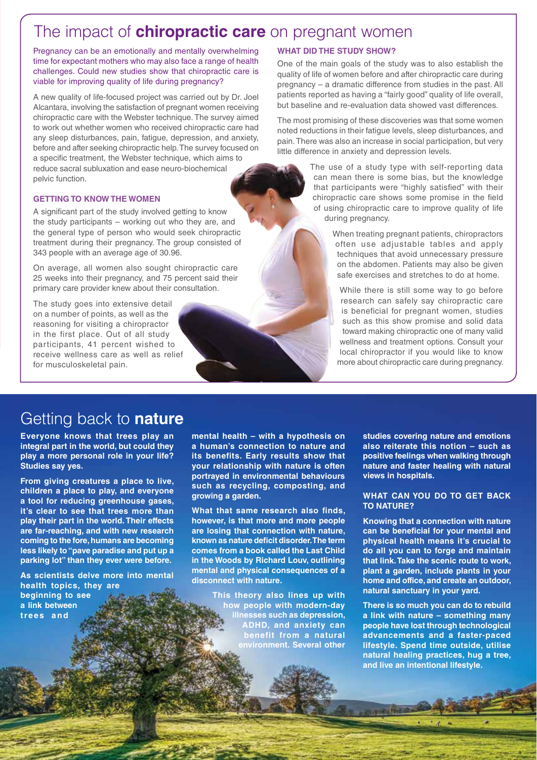# The impact of **chiropractic care** on pregnant women

Pregnancy can be an emotionally and mentally overwhelming time for expectant mothers who may also face a range of health challenges. Could new studies show that chiropractic care is viable for improving quality of life during pregnancy?

A new quality of life-focused project was carried out by Dr. Joel Alcantara, involving the satisfaction of pregnant women receiving chiropractic care with the Webster technique. The survey aimed to work out whether women who received chiropractic care had any sleep disturbances, pain, fatigue, depression, and anxiety, before and after seeking chiropractic help. The survey focused on a specific treatment, the Webster technique, which aims to reduce sacral subluxation and ease neuro-biochemical pelvic function.

#### **GETTING TO KNOW THE WOMEN**

A significant part of the study involved getting to know the study participants – working out who they are, and the general type of person who would seek chiropractic treatment during their pregnancy. The group consisted of 343 people with an average age of 30.96.

On average, all women also sought chiropractic care 25 weeks into their pregnancy, and 75 percent said their primary care provider knew about their consultation.

The study goes into extensive detail on a number of points, as well as the reasoning for visiting a chiropractor in the first place. Out of all study participants, 41 percent wished to receive wellness care as well as relief for musculoskeletal pain.

#### **WHAT DID THE STUDY SHOW?**

One of the main goals of the study was to also establish the quality of life of women before and after chiropractic care during pregnancy – a dramatic difference from studies in the past. All patients reported as having a "fairly good" quality of life overall, but baseline and re-evaluation data showed vast differences.

The most promising of these discoveries was that some women noted reductions in their fatigue levels, sleep disturbances, and pain. There was also an increase in social participation, but very little difference in anxiety and depression levels.

> The use of a study type with self-reporting data can mean there is some bias, but the knowledge that participants were "highly satisfied" with their chiropractic care shows some promise in the field of using chiropractic care to improve quality of life during pregnancy.

> > When treating pregnant patients, chiropractors often use adjustable tables and apply techniques that avoid unnecessary pressure on the abdomen. Patients may also be given safe exercises and stretches to do at home.

While there is still some way to go before research can safely say chiropractic care is beneficial for pregnant women, studies such as this show promise and solid data toward making chiropractic one of many valid wellness and treatment options. Consult your local chiropractor if you would like to know more about chiropractic care during pregnancy.

# Getting back to **nature**

**Everyone knows that trees play an integral part in the world, but could they play a more personal role in your life? Studies say yes.** 

**From giving creatures a place to live, children a place to play, and everyone a tool for reducing greenhouse gases, it's clear to see that trees more than play their part in the world. Their effects are far-reaching, and with new research coming to the fore, humans are becoming less likely to "pave paradise and put up a parking lot" than they ever were before.** 

**As scientists delve more into mental health topics, they are beginning to see a link between** 

**trees and** 

**mental health – with a hypothesis on a human's connection to nature and its benefits. Early results show that your relationship with nature is often portrayed in environmental behaviours such as recycling, composting, and growing a garden.** 

**What that same research also finds, however, is that more and more people are losing that connection with nature, known as nature deficit disorder. The term comes from a book called the Last Child in the Woods by Richard Louv, outlining mental and physical consequences of a disconnect with nature.** 

> **This theory also lines up with how people with modern-day illnesses such as depression, ADHD, and anxiety can benefit from a natural environment. Several other**

**studies covering nature and emotions also reiterate this notion – such as positive feelings when walking through nature and faster healing with natural views in hospitals.**

#### **WHAT CAN YOU DO TO GET BACK TO NATURE?**

**Knowing that a connection with nature can be beneficial for your mental and physical health means it's crucial to do all you can to forge and maintain that link. Take the scenic route to work, plant a garden, include plants in your home and office, and create an outdoor, natural sanctuary in your yard.** 

**There is so much you can do to rebuild a link with nature – something many people have lost through technological advancements and a faster-paced lifestyle. Spend time outside, utilise natural healing practices, hug a tree, and live an intentional lifestyle.**